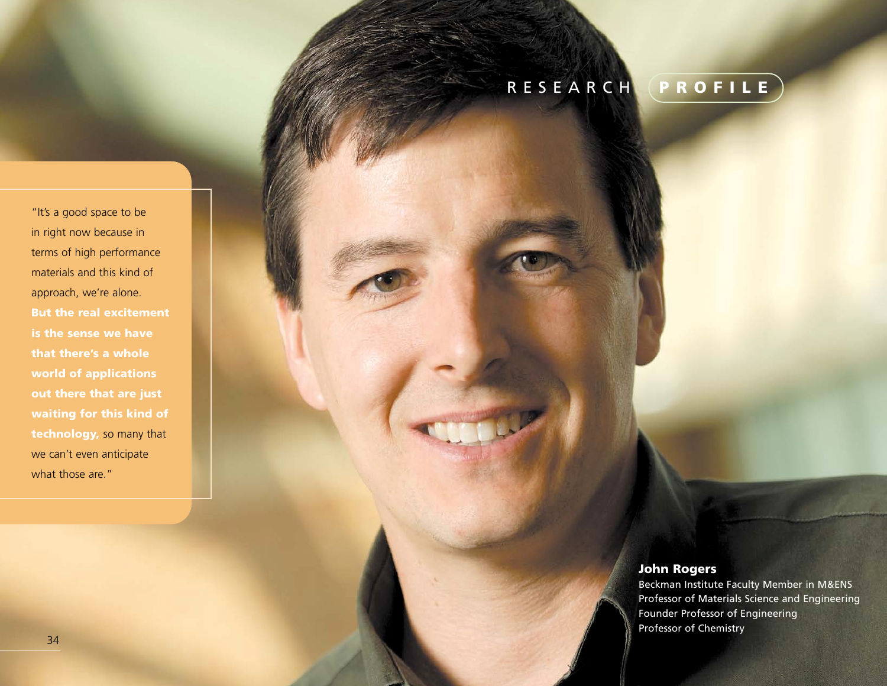## RESEARCH **PROFILE**

"It's a good space to be in right now because in terms of high performance materials and this kind of approach, we're alone. **But the real excitement is the sense we have that there's a whole world of applications out there that are just waiting for this kind of technology,** so many that we can't even anticipate what those are."

## **John Rogers**

Beckman Institute Faculty Member in M&ENS Professor of Materials Science and Engineering Founder Professor of Engineering Professor of Chemistry